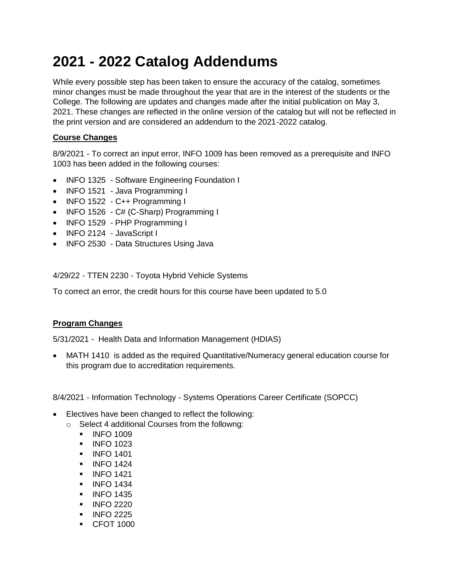# **2021 - 2022 Catalog Addendums**

While every possible step has been taken to ensure the accuracy of the catalog, sometimes minor changes must be made throughout the year that are in the interest of the students or the College. The following are updates and changes made after the initial publication on May 3, 2021. These changes are reflected in the online version of the catalog but will not be reflected in the print version and are considered an addendum to the 2021-2022 catalog.

# **Course Changes**

8/9/2021 - To correct an input error, INFO 1009 has been removed as a prerequisite and INFO 1003 has been added in the following courses:

- INFO 1325 Software Engineering Foundation I
- INFO 1521 Java Programming I
- $\bullet$  INFO 1522 C++ Programming I
- INFO 1526 C# (C-Sharp) Programming I
- INFO 1529 PHP Programming I
- INFO 2124 JavaScript I
- INFO 2530 Data Structures Using Java

4/29/22 - TTEN 2230 - Toyota Hybrid Vehicle Systems

To correct an error, the credit hours for this course have been updated to 5.0

## **Program Changes**

5/31/2021 - Health Data and Information Management (HDIAS)

 MATH 1410 is added as the required Quantitative/Numeracy general education course for this program due to accreditation requirements.

8/4/2021 - Information Technology - Systems Operations Career Certificate (SOPCC)

- Electives have been changed to reflect the following:
	- o Select 4 additional Courses from the followng:
		- $\blacksquare$  INFO 1009
		- **INFO 1023**
		- **INFO 1401**
		- $\blacksquare$  INFO 1424
		- **INFO 1421**
		- **INFO 1434**
		- **INFO 1435**
		- **INFO 2220**
		- $\blacksquare$  INFO 2225
		- CFOT 1000